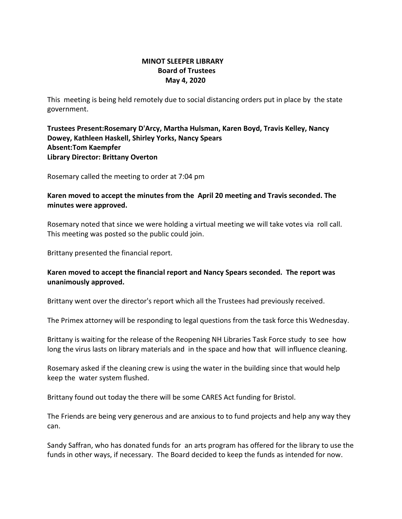## **MINOT SLEEPER LIBRARY Board of Trustees May 4, 2020**

This meeting is being held remotely due to social distancing orders put in place by the state government.

**Trustees Present:Rosemary D'Arcy, Martha Hulsman, Karen Boyd, Travis Kelley, Nancy Dowey, Kathleen Haskell, Shirley Yorks, Nancy Spears Absent:Tom Kaempfer Library Director: Brittany Overton** 

Rosemary called the meeting to order at 7:04 pm

**Karen moved to accept the minutes from the April 20 meeting and Travis seconded. The minutes were approved.**

Rosemary noted that since we were holding a virtual meeting we will take votes via roll call. This meeting was posted so the public could join.

Brittany presented the financial report.

## **Karen moved to accept the financial report and Nancy Spears seconded. The report was unanimously approved.**

Brittany went over the director's report which all the Trustees had previously received.

The Primex attorney will be responding to legal questions from the task force this Wednesday.

Brittany is waiting for the release of the Reopening NH Libraries Task Force study to see how long the virus lasts on library materials and in the space and how that will influence cleaning.

Rosemary asked if the cleaning crew is using the water in the building since that would help keep the water system flushed.

Brittany found out today the there will be some CARES Act funding for Bristol.

The Friends are being very generous and are anxious to to fund projects and help any way they can.

Sandy Saffran, who has donated funds for an arts program has offered for the library to use the funds in other ways, if necessary. The Board decided to keep the funds as intended for now.